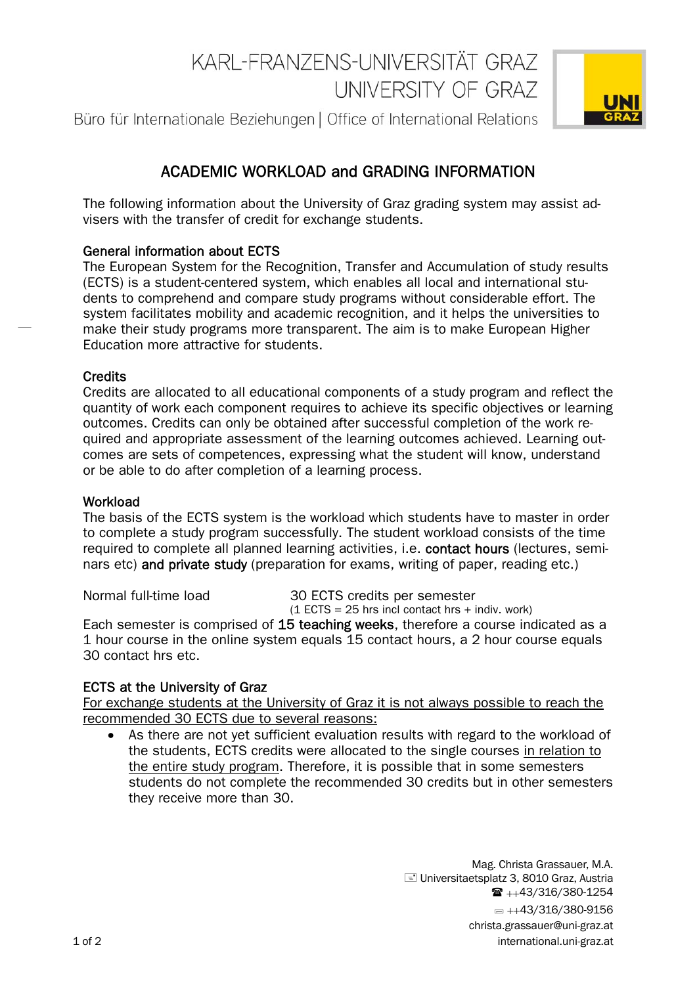# KARI-FRANZENS-UNIVERSITÄT GRAZ UNIVERSITY OF GRAZ

Büro für Internationale Beziehungen | Office of International Relations



# ACADEMIC WORKLOAD and GRADING INFORMATION

The following information about the University of Graz grading system may assist advisers with the transfer of credit for exchange students.

# General information about ECTS

The European System for the Recognition, Transfer and Accumulation of study results (ECTS) is a student-centered system, which enables all local and international students to comprehend and compare study programs without considerable effort. The system facilitates mobility and academic recognition, and it helps the universities to make their study programs more transparent. The aim is to make European Higher Education more attractive for students.

#### **Credits**

Credits are allocated to all educational components of a study program and reflect the quantity of work each component requires to achieve its specific objectives or learning outcomes. Credits can only be obtained after successful completion of the work required and appropriate assessment of the learning outcomes achieved. Learning outcomes are sets of competences, expressing what the student will know, understand or be able to do after completion of a learning process.

## **Workload**

The basis of the ECTS system is the workload which students have to master in order to complete a study program successfully. The student workload consists of the time required to complete all planned learning activities, i.e. contact hours (lectures, seminars etc) and private study (preparation for exams, writing of paper, reading etc.)

Normal full-time load 30 ECTS credits per semester

 $(1$  ECTS = 25 hrs incl contact hrs + indiv. work) Each semester is comprised of 15 teaching weeks, therefore a course indicated as a 1 hour course in the online system equals 15 contact hours, a 2 hour course equals 30 contact hrs etc.

# ECTS at the University of Graz

For exchange students at the University of Graz it is not always possible to reach the recommended 30 ECTS due to several reasons:

 As there are not yet sufficient evaluation results with regard to the workload of the students, ECTS credits were allocated to the single courses in relation to the entire study program. Therefore, it is possible that in some semesters students do not complete the recommended 30 credits but in other semesters they receive more than 30.